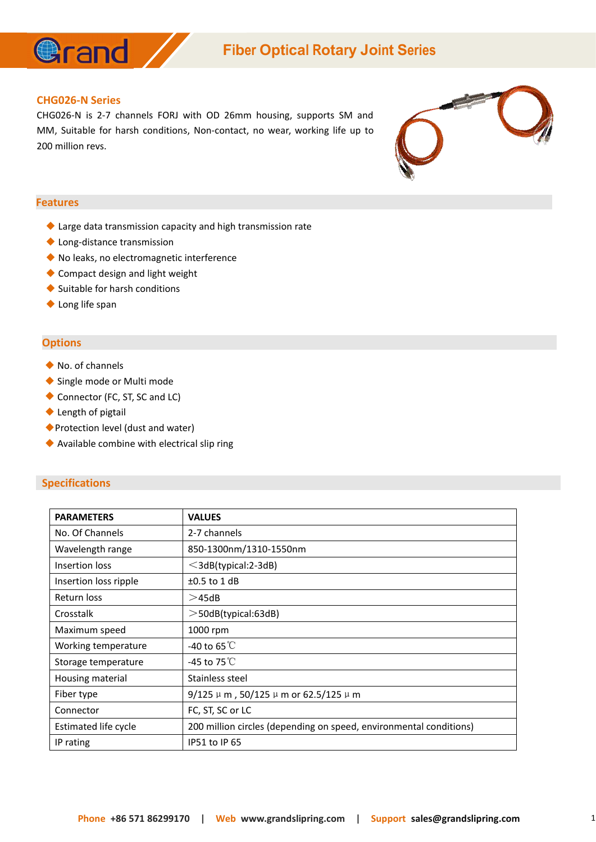

# **Fiber Optical Rotary Joint Series**

#### **CHG026-N Series**

CHG026-N is 2-7 channels FORJ with OD 26mm housing, supports SM and MM, Suitable for harsh conditions, Non-contact, no wear, working life up to 200 million revs.



#### **Features**

- ◆ Large data transmission capacity and high transmission rate
- ◆ Long-distance transmission
- ◆ No leaks, no electromagnetic interference
- ◆ Compact design and light weight
- ◆ Suitable for harsh conditions
- ◆ Long life span

### **Options**

- ◆ No. of channels
- ◆ Single mode or Multi mode
- ◆ Connector (FC, ST, SC and LC)
- ◆ Length of pigtail
- ◆ Protection level (dust and water)
- ◆ Available combine with electrical slip ring

## **Specifications**

| <b>PARAMETERS</b>     | <b>VALUES</b>                                                      |
|-----------------------|--------------------------------------------------------------------|
| No. Of Channels       | 2-7 channels                                                       |
| Wavelength range      | 850-1300nm/1310-1550nm                                             |
| Insertion loss        | $\leq$ 3dB(typical:2-3dB)                                          |
| Insertion loss ripple | $\pm 0.5$ to 1 dB                                                  |
| Return loss           | >45dB                                                              |
| Crosstalk             | $>$ 50dB(typical:63dB)                                             |
| Maximum speed         | 1000 rpm                                                           |
| Working temperature   | -40 to 65 $^{\circ}$ C                                             |
| Storage temperature   | -45 to 75 $\mathrm{C}$                                             |
| Housing material      | Stainless steel                                                    |
| Fiber type            | $9/125 \mu m$ , 50/125 $\mu$ m or 62.5/125 $\mu$ m                 |
| Connector             | FC, ST, SC or LC                                                   |
| Estimated life cycle  | 200 million circles (depending on speed, environmental conditions) |
| IP rating             | IP51 to IP 65                                                      |